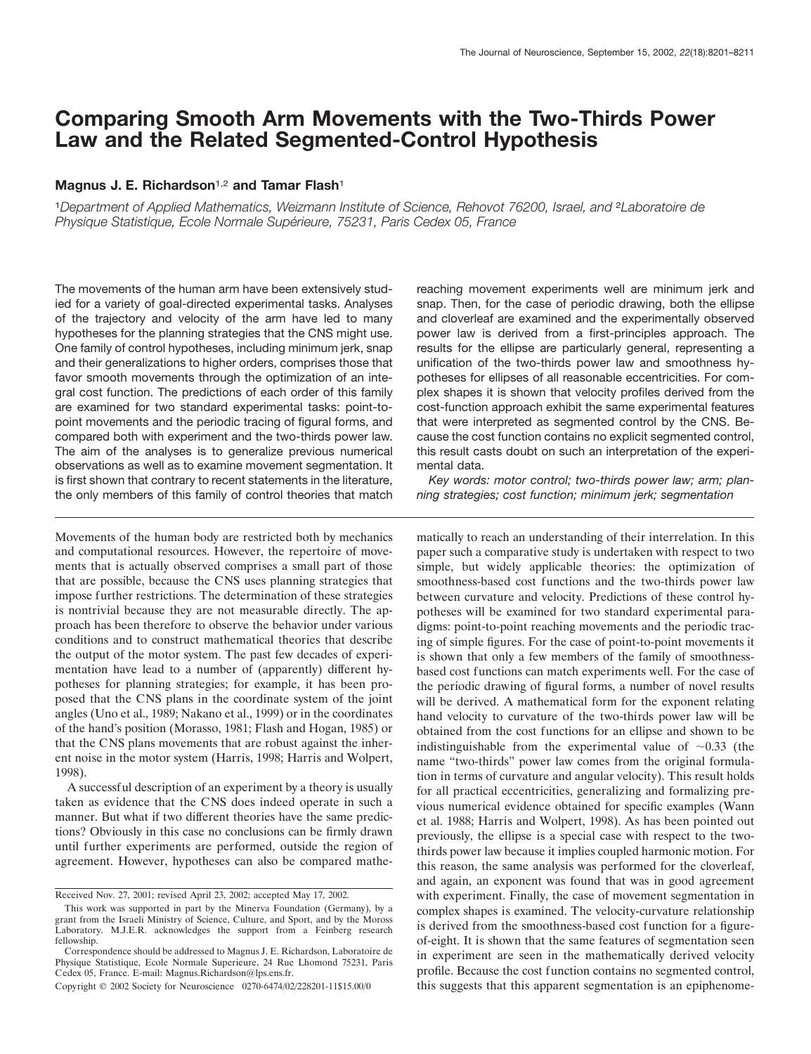# **Comparing Smooth Arm Movements with the Two-Thirds Power Law and the Related Segmented-Control Hypothesis**

## **Magnus J. E. Richardson**1,2 **and Tamar Flash**<sup>1</sup>

<sup>1</sup>*Department of Applied Mathematics, Weizmann Institute of Science, Rehovot 76200, Israel, and* <sup>2</sup>*Laboratoire de Physique Statistique, Ecole Normale Supérieure, 75231, Paris Cedex 05, France* 

The movements of the human arm have been extensively studied for a variety of goal-directed experimental tasks. Analyses of the trajectory and velocity of the arm have led to many hypotheses for the planning strategies that the CNS might use. One family of control hypotheses, including minimum jerk, snap and their generalizations to higher orders, comprises those that favor smooth movements through the optimization of an integral cost function. The predictions of each order of this family are examined for two standard experimental tasks: point-topoint movements and the periodic tracing of figural forms, and compared both with experiment and the two-thirds power law. The aim of the analyses is to generalize previous numerical observations as well as to examine movement segmentation. It is first shown that contrary to recent statements in the literature, the only members of this family of control theories that match

Movements of the human body are restricted both by mechanics and computational resources. However, the repertoire of movements that is actually observed comprises a small part of those that are possible, because the CNS uses planning strategies that impose further restrictions. The determination of these strategies is nontrivial because they are not measurable directly. The approach has been therefore to observe the behavior under various conditions and to construct mathematical theories that describe the output of the motor system. The past few decades of experimentation have lead to a number of (apparently) different hypotheses for planning strategies; for example, it has been proposed that the CNS plans in the coordinate system of the joint angles (Uno et al., 1989; Nakano et al., 1999) or in the coordinates of the hand's position (Morasso, 1981; Flash and Hogan, 1985) or that the CNS plans movements that are robust against the inherent noise in the motor system (Harris, 1998; Harris and Wolpert, 1998).

A successful description of an experiment by a theory is usually taken as evidence that the CNS does indeed operate in such a manner. But what if two different theories have the same predictions? Obviously in this case no conclusions can be firmly drawn until further experiments are performed, outside the region of agreement. However, hypotheses can also be compared mathereaching movement experiments well are minimum jerk and snap. Then, for the case of periodic drawing, both the ellipse and cloverleaf are examined and the experimentally observed power law is derived from a first-principles approach. The results for the ellipse are particularly general, representing a unification of the two-thirds power law and smoothness hypotheses for ellipses of all reasonable eccentricities. For complex shapes it is shown that velocity profiles derived from the cost-function approach exhibit the same experimental features that were interpreted as segmented control by the CNS. Because the cost function contains no explicit segmented control, this result casts doubt on such an interpretation of the experimental data.

*Key words: motor control; two-thirds power law; arm; planning strategies; cost function; minimum jerk; segmentation*

matically to reach an understanding of their interrelation. In this paper such a comparative study is undertaken with respect to two simple, but widely applicable theories: the optimization of smoothness-based cost functions and the two-thirds power law between curvature and velocity. Predictions of these control hypotheses will be examined for two standard experimental paradigms: point-to-point reaching movements and the periodic tracing of simple figures. For the case of point-to-point movements it is shown that only a few members of the family of smoothnessbased cost functions can match experiments well. For the case of the periodic drawing of figural forms, a number of novel results will be derived. A mathematical form for the exponent relating hand velocity to curvature of the two-thirds power law will be obtained from the cost functions for an ellipse and shown to be indistinguishable from the experimental value of  $\sim 0.33$  (the name "two-thirds" power law comes from the original formulation in terms of curvature and angular velocity). This result holds for all practical eccentricities, generalizing and formalizing previous numerical evidence obtained for specific examples (Wann et al. 1988; Harris and Wolpert, 1998). As has been pointed out previously, the ellipse is a special case with respect to the twothirds power law because it implies coupled harmonic motion. For this reason, the same analysis was performed for the cloverleaf, and again, an exponent was found that was in good agreement with experiment. Finally, the case of movement segmentation in complex shapes is examined. The velocity-curvature relationship is derived from the smoothness-based cost function for a figureof-eight. It is shown that the same features of segmentation seen in experiment are seen in the mathematically derived velocity profile. Because the cost function contains no segmented control, this suggests that this apparent segmentation is an epiphenome-

Received Nov. 27, 2001; revised April 23, 2002; accepted May 17, 2002.

This work was supported in part by the Minerva Foundation (Germany), by a grant from the Israeli Ministry of Science, Culture, and Sport, and by the Moross Laboratory. M.J.E.R. acknowledges the support from a Feinberg research fellowship.

Correspondence should be addressed to Magnus J. E. Richardson, Laboratoire de Physique Statistique, Ecole Normale Superieure, 24 Rue Lhomond 75231, Paris Cedex 05, France. E-mail: Magnus.Richardson@lps.ens.fr.

Copyright © 2002 Society for Neuroscience 0270-6474/02/228201-11\$15.00/0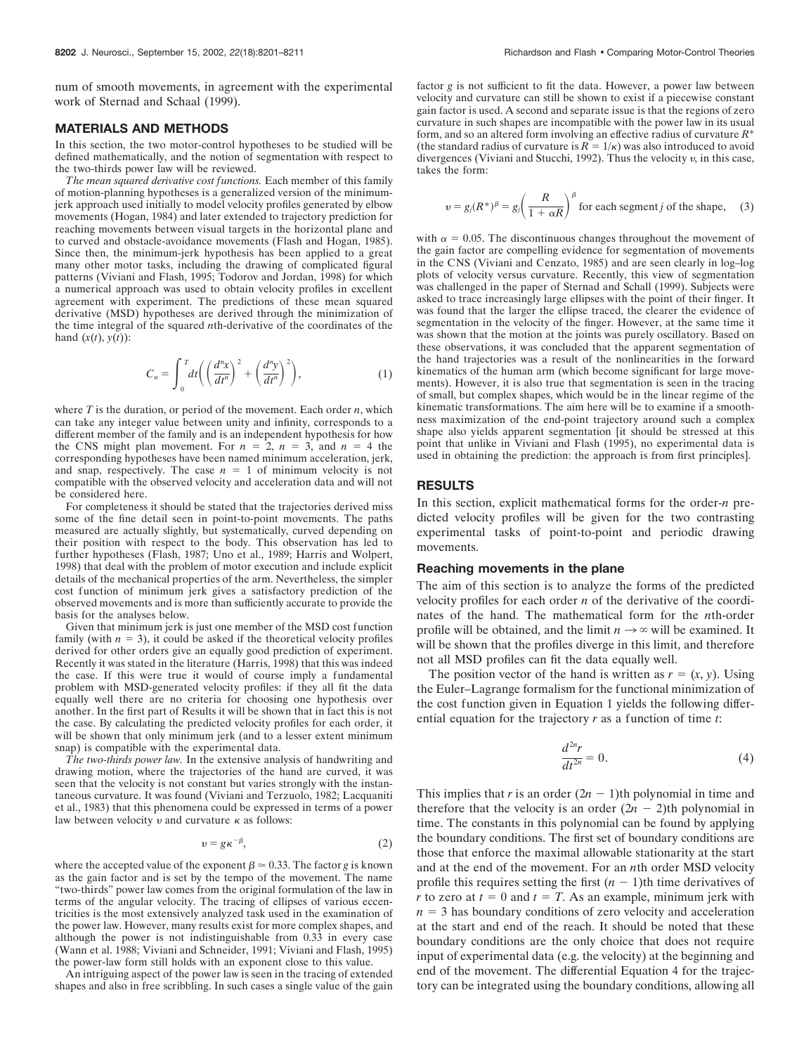num of smooth movements, in agreement with the experimental work of Sternad and Schaal (1999).

#### **MATERIALS AND METHODS**

In this section, the two motor-control hypotheses to be studied will be defined mathematically, and the notion of segmentation with respect to the two-thirds power law will be reviewed.

*The mean squared derivative cost functions.* Each member of this family of motion-planning hypotheses is a generalized version of the minimumjerk approach used initially to model velocity profiles generated by elbow movements (Hogan, 1984) and later extended to trajectory prediction for reaching movements between visual targets in the horizontal plane and to curved and obstacle-avoidance movements (Flash and Hogan, 1985). Since then, the minimum-jerk hypothesis has been applied to a great many other motor tasks, including the drawing of complicated figural patterns (Viviani and Flash, 1995; Todorov and Jordan, 1998) for which a numerical approach was used to obtain velocity profiles in excellent agreement with experiment. The predictions of these mean squared derivative (MSD) hypotheses are derived through the minimization of the time integral of the squared *n*th-derivative of the coordinates of the hand  $(x(t), y(t))$ :

$$
C_n = \int_0^T dt \bigg( \left( \frac{d^n x}{dt^n} \right)^2 + \left( \frac{d^n y}{dt^n} \right)^2 \bigg), \tag{1}
$$

where *T* is the duration, or period of the movement. Each order *n*, which can take any integer value between unity and infinity, corresponds to a different member of the family and is an independent hypothesis for how the CNS might plan movement. For  $n = 2$ ,  $n = 3$ , and  $n = 4$  the corresponding hypotheses have been named minimum acceleration, jerk, and snap, respectively. The case  $n = 1$  of minimum velocity is not compatible with the observed velocity and acceleration data and will not be considered here.

For completeness it should be stated that the trajectories derived miss some of the fine detail seen in point-to-point movements. The paths measured are actually slightly, but systematically, curved depending on their position with respect to the body. This observation has led to further hypotheses (Flash, 1987; Uno et al., 1989; Harris and Wolpert, 1998) that deal with the problem of motor execution and include explicit details of the mechanical properties of the arm. Nevertheless, the simpler cost function of minimum jerk gives a satisfactory prediction of the observed movements and is more than sufficiently accurate to provide the basis for the analyses below.

Given that minimum jerk is just one member of the MSD cost function family (with  $n = 3$ ), it could be asked if the theoretical velocity profiles derived for other orders give an equally good prediction of experiment. Recently it was stated in the literature (Harris, 1998) that this was indeed the case. If this were true it would of course imply a fundamental problem with MSD-generated velocity profiles: if they all fit the data equally well there are no criteria for choosing one hypothesis over another. In the first part of Results it will be shown that in fact this is not the case. By calculating the predicted velocity profiles for each order, it will be shown that only minimum jerk (and to a lesser extent minimum snap) is compatible with the experimental data.

*The two-thirds power law.* In the extensive analysis of handwriting and drawing motion, where the trajectories of the hand are curved, it was seen that the velocity is not constant but varies strongly with the instantaneous curvature. It was found (Viviani and Terzuolo, 1982; Lacquaniti et al., 1983) that this phenomena could be expressed in terms of a power law between velocity  $v$  and curvature  $\kappa$  as follows:

$$
v = g\kappa^{-\beta},\tag{2}
$$

where the accepted value of the exponent  $\beta \approx 0.33$ . The factor *g* is known as the gain factor and is set by the tempo of the movement. The name "two-thirds" power law comes from the original formulation of the law in terms of the angular velocity. The tracing of ellipses of various eccentricities is the most extensively analyzed task used in the examination of the power law. However, many results exist for more complex shapes, and although the power is not indistinguishable from 0.33 in every case (Wann et al. 1988; Viviani and Schneider, 1991; Viviani and Flash, 1995) the power-law form still holds with an exponent close to this value.

An intriguing aspect of the power law is seen in the tracing of extended shapes and also in free scribbling. In such cases a single value of the gain

factor *g* is not sufficient to fit the data. However, a power law between velocity and curvature can still be shown to exist if a piecewise constant gain factor is used. A second and separate issue is that the regions of zero curvature in such shapes are incompatible with the power law in its usual form, and so an altered form involving an effective radius of curvature *R*\* (the standard radius of curvature is  $R = 1/\kappa$ ) was also introduced to avoid divergences (Viviani and Stucchi, 1992). Thus the velocity  $v$ , in this case, takes the form:

$$
v = g_j(R^*)^{\beta} = g_j \left(\frac{R}{1 + \alpha R}\right)^{\beta}
$$
 for each segment *j* of the shape, (3)

with  $\alpha = 0.05$ . The discontinuous changes throughout the movement of the gain factor are compelling evidence for segmentation of movements in the CNS (Viviani and Cenzato, 1985) and are seen clearly in log–log plots of velocity versus curvature. Recently, this view of segmentation was challenged in the paper of Sternad and Schall (1999). Subjects were asked to trace increasingly large ellipses with the point of their finger. It was found that the larger the ellipse traced, the clearer the evidence of segmentation in the velocity of the finger. However, at the same time it was shown that the motion at the joints was purely oscillatory. Based on these observations, it was concluded that the apparent segmentation of the hand trajectories was a result of the nonlinearities in the forward kinematics of the human arm (which become significant for large movements). However, it is also true that segmentation is seen in the tracing of small, but complex shapes, which would be in the linear regime of the kinematic transformations. The aim here will be to examine if a smoothness maximization of the end-point trajectory around such a complex shape also yields apparent segmentation [it should be stressed at this point that unlike in Viviani and Flash (1995), no experimental data is used in obtaining the prediction: the approach is from first principles].

#### **RESULTS**

In this section, explicit mathematical forms for the order-*n* predicted velocity profiles will be given for the two contrasting experimental tasks of point-to-point and periodic drawing movements.

#### **Reaching movements in the plane**

The aim of this section is to analyze the forms of the predicted velocity profiles for each order *n* of the derivative of the coordinates of the hand. The mathematical form for the *n*th-order profile will be obtained, and the limit  $n \to \infty$  will be examined. It will be shown that the profiles diverge in this limit, and therefore not all MSD profiles can fit the data equally well.

The position vector of the hand is written as  $r = (x, y)$ . Using the Euler–Lagrange formalism for the functional minimization of the cost function given in Equation 1 yields the following differential equation for the trajectory *r* as a function of time *t*:

$$
\frac{d^{2n}r}{dt^{2n}} = 0.\t\t(4)
$$

This implies that *r* is an order  $(2n - 1)$ th polynomial in time and therefore that the velocity is an order  $(2n - 2)$ th polynomial in time. The constants in this polynomial can be found by applying the boundary conditions. The first set of boundary conditions are those that enforce the maximal allowable stationarity at the start and at the end of the movement. For an *n*th order MSD velocity profile this requires setting the first  $(n - 1)$ th time derivatives of *r* to zero at  $t = 0$  and  $t = T$ . As an example, minimum jerk with  $n = 3$  has boundary conditions of zero velocity and acceleration at the start and end of the reach. It should be noted that these boundary conditions are the only choice that does not require input of experimental data (e.g. the velocity) at the beginning and end of the movement. The differential Equation 4 for the trajectory can be integrated using the boundary conditions, allowing all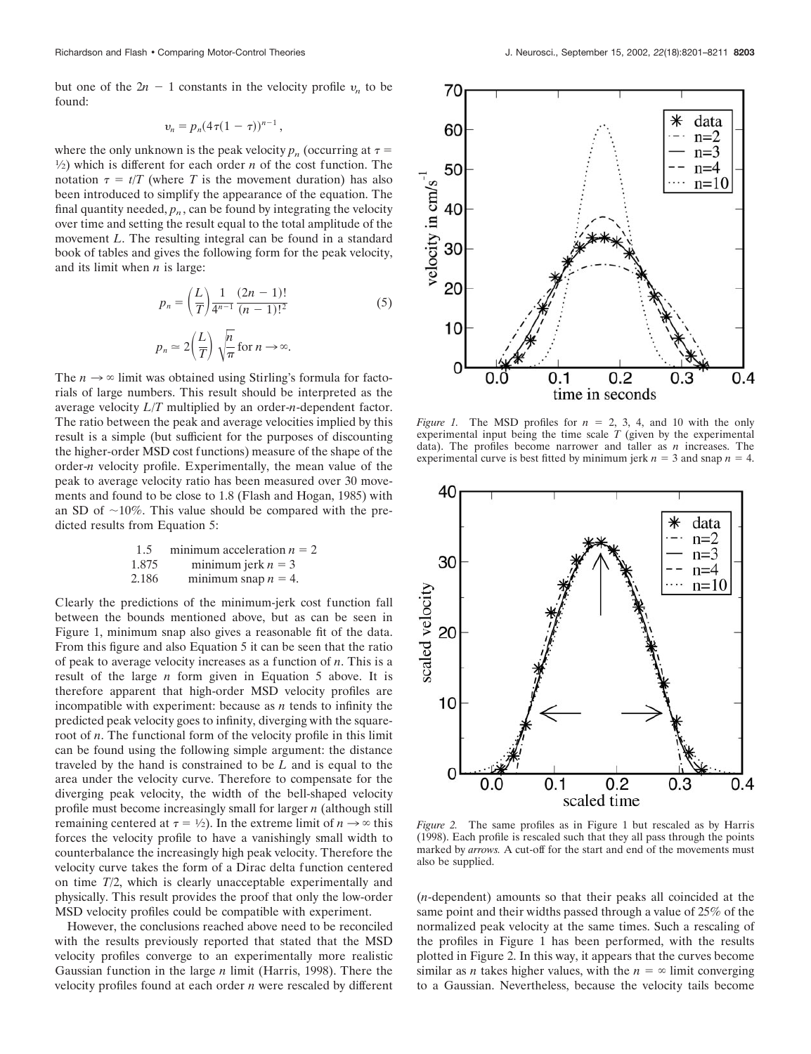but one of the  $2n - 1$  constants in the velocity profile  $v_n$  to be found:

$$
v_n=p_n(4\tau(1-\tau))^{n-1},
$$

where the only unknown is the peak velocity  $p_n$  (occurring at  $\tau =$  $\frac{1}{2}$ ) which is different for each order *n* of the cost function. The notation  $\tau = t/T$  (where *T* is the movement duration) has also been introduced to simplify the appearance of the equation. The final quantity needed,  $p_n$ , can be found by integrating the velocity over time and setting the result equal to the total amplitude of the movement *L*. The resulting integral can be found in a standard book of tables and gives the following form for the peak velocity, and its limit when *n* is large:

$$
p_n = \left(\frac{L}{T}\right) \frac{1}{4^{n-1}} \frac{(2n-1)!}{(n-1)!^2}
$$
  
\n
$$
p_n \approx 2\left(\frac{L}{T}\right) \sqrt{\frac{n}{\pi}} \text{ for } n \to \infty.
$$
 (5)

The  $n \to \infty$  limit was obtained using Stirling's formula for factorials of large numbers. This result should be interpreted as the average velocity *L*/*T* multiplied by an order-*n*-dependent factor. The ratio between the peak and average velocities implied by this result is a simple (but sufficient for the purposes of discounting the higher-order MSD cost functions) measure of the shape of the order-*n* velocity profile. Experimentally, the mean value of the peak to average velocity ratio has been measured over 30 movements and found to be close to 1.8 (Flash and Hogan, 1985) with an SD of  $\sim$ 10%. This value should be compared with the predicted results from Equation 5:

1.5 minimum acceleration 
$$
n = 2
$$
  
1.875 minimum jerk  $n = 3$   
2.186 minimum snap  $n = 4$ .

Clearly the predictions of the minimum-jerk cost function fall between the bounds mentioned above, but as can be seen in Figure 1, minimum snap also gives a reasonable fit of the data. From this figure and also Equation 5 it can be seen that the ratio of peak to average velocity increases as a function of *n*. This is a result of the large *n* form given in Equation 5 above. It is therefore apparent that high-order MSD velocity profiles are incompatible with experiment: because as *n* tends to infinity the predicted peak velocity goes to infinity, diverging with the squareroot of *n*. The functional form of the velocity profile in this limit can be found using the following simple argument: the distance traveled by the hand is constrained to be *L* and is equal to the area under the velocity curve. Therefore to compensate for the diverging peak velocity, the width of the bell-shaped velocity profile must become increasingly small for larger *n* (although still remaining centered at  $\tau = \frac{1}{2}$ ). In the extreme limit of  $n \to \infty$  this forces the velocity profile to have a vanishingly small width to counterbalance the increasingly high peak velocity. Therefore the velocity curve takes the form of a Dirac delta function centered on time *T*/2, which is clearly unacceptable experimentally and physically. This result provides the proof that only the low-order MSD velocity profiles could be compatible with experiment.

However, the conclusions reached above need to be reconciled with the results previously reported that stated that the MSD velocity profiles converge to an experimentally more realistic Gaussian function in the large *n* limit (Harris, 1998). There the velocity profiles found at each order *n* were rescaled by different



*Figure 1.* The MSD profiles for  $n = 2, 3, 4$ , and 10 with the only experimental input being the time scale  $T$  (given by the experimental data). The profiles become narrower and taller as *n* increases. The experimental curve is best fitted by minimum jerk  $n = 3$  and snap  $n = 4$ .



*Figure 2.* The same profiles as in Figure 1 but rescaled as by Harris (1998). Each profile is rescaled such that they all pass through the points marked by *arrows.* A cut-off for the start and end of the movements must also be supplied.

(*n*-dependent) amounts so that their peaks all coincided at the same point and their widths passed through a value of 25% of the normalized peak velocity at the same times. Such a rescaling of the profiles in Figure 1 has been performed, with the results plotted in Figure 2. In this way, it appears that the curves become similar as *n* takes higher values, with the  $n = \infty$  limit converging to a Gaussian. Nevertheless, because the velocity tails become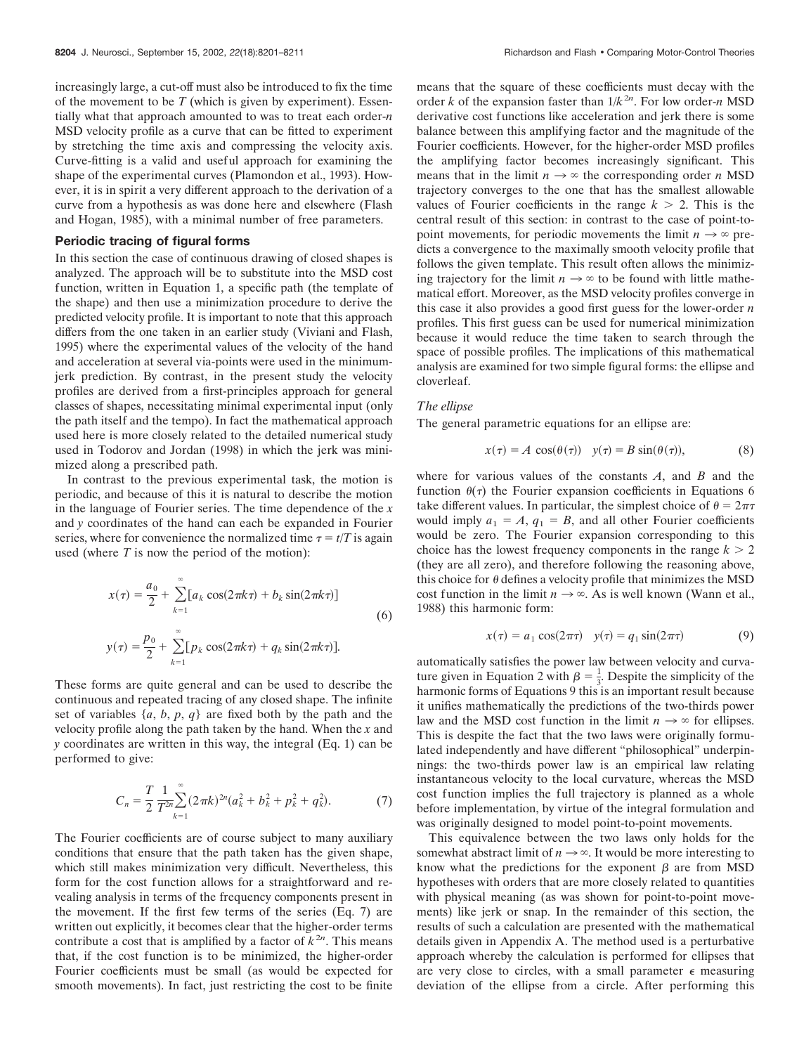increasingly large, a cut-off must also be introduced to fix the time of the movement to be *T* (which is given by experiment). Essentially what that approach amounted to was to treat each order-*n* MSD velocity profile as a curve that can be fitted to experiment by stretching the time axis and compressing the velocity axis. Curve-fitting is a valid and useful approach for examining the shape of the experimental curves (Plamondon et al., 1993). However, it is in spirit a very different approach to the derivation of a curve from a hypothesis as was done here and elsewhere (Flash and Hogan, 1985), with a minimal number of free parameters.

#### **Periodic tracing of figural forms**

In this section the case of continuous drawing of closed shapes is analyzed. The approach will be to substitute into the MSD cost function, written in Equation 1, a specific path (the template of the shape) and then use a minimization procedure to derive the predicted velocity profile. It is important to note that this approach differs from the one taken in an earlier study (Viviani and Flash, 1995) where the experimental values of the velocity of the hand and acceleration at several via-points were used in the minimumjerk prediction. By contrast, in the present study the velocity profiles are derived from a first-principles approach for general classes of shapes, necessitating minimal experimental input (only the path itself and the tempo). In fact the mathematical approach used here is more closely related to the detailed numerical study used in Todorov and Jordan (1998) in which the jerk was minimized along a prescribed path.

In contrast to the previous experimental task, the motion is periodic, and because of this it is natural to describe the motion in the language of Fourier series. The time dependence of the *x* and *y* coordinates of the hand can each be expanded in Fourier series, where for convenience the normalized time  $\tau = t/T$  is again used (where *T* is now the period of the motion):

$$
x(\tau) = \frac{a_0}{2} + \sum_{k=1}^{\infty} [a_k \cos(2\pi k\tau) + b_k \sin(2\pi k\tau)]
$$
  
(6)  

$$
y(\tau) = \frac{p_0}{2} + \sum_{k=1}^{\infty} [p_k \cos(2\pi k\tau) + q_k \sin(2\pi k\tau)].
$$

These forms are quite general and can be used to describe the continuous and repeated tracing of any closed shape. The infinite set of variables  $\{a, b, p, q\}$  are fixed both by the path and the velocity profile along the path taken by the hand. When the *x* and *y* coordinates are written in this way, the integral (Eq. 1) can be performed to give:

$$
C_n = \frac{T}{2} \frac{1}{T^{2n}} \sum_{k=1}^{\infty} (2\pi k)^{2n} (a_k^2 + b_k^2 + p_k^2 + q_k^2).
$$
 (7)

The Fourier coefficients are of course subject to many auxiliary conditions that ensure that the path taken has the given shape, which still makes minimization very difficult. Nevertheless, this form for the cost function allows for a straightforward and revealing analysis in terms of the frequency components present in the movement. If the first few terms of the series (Eq. 7) are written out explicitly, it becomes clear that the higher-order terms contribute a cost that is amplified by a factor of  $k^{2n}$ . This means that, if the cost function is to be minimized, the higher-order Fourier coefficients must be small (as would be expected for smooth movements). In fact, just restricting the cost to be finite

means that the square of these coefficients must decay with the order *k* of the expansion faster than  $1/k^{2n}$ . For low order-*n* MSD derivative cost functions like acceleration and jerk there is some balance between this amplifying factor and the magnitude of the Fourier coefficients. However, for the higher-order MSD profiles the amplifying factor becomes increasingly significant. This means that in the limit  $n \to \infty$  the corresponding order *n* MSD trajectory converges to the one that has the smallest allowable values of Fourier coefficients in the range  $k > 2$ . This is the central result of this section: in contrast to the case of point-topoint movements, for periodic movements the limit  $n \to \infty$  predicts a convergence to the maximally smooth velocity profile that follows the given template. This result often allows the minimizing trajectory for the limit  $n \to \infty$  to be found with little mathematical effort. Moreover, as the MSD velocity profiles converge in this case it also provides a good first guess for the lower-order *n* profiles. This first guess can be used for numerical minimization because it would reduce the time taken to search through the space of possible profiles. The implications of this mathematical analysis are examined for two simple figural forms: the ellipse and cloverleaf.

# *The ellipse*

The general parametric equations for an ellipse are:

$$
x(\tau) = A \cos(\theta(\tau)) \quad y(\tau) = B \sin(\theta(\tau)), \tag{8}
$$

where for various values of the constants *A*, and *B* and the function  $\theta(\tau)$  the Fourier expansion coefficients in Equations 6 take different values. In particular, the simplest choice of  $\theta = 2\pi\tau$ would imply  $a_1 = A$ ,  $q_1 = B$ , and all other Fourier coefficients would be zero. The Fourier expansion corresponding to this choice has the lowest frequency components in the range  $k > 2$ (they are all zero), and therefore following the reasoning above, this choice for  $\theta$  defines a velocity profile that minimizes the MSD cost function in the limit  $n \to \infty$ . As is well known (Wann et al., 1988) this harmonic form:

$$
x(\tau) = a_1 \cos(2\pi\tau) \quad y(\tau) = q_1 \sin(2\pi\tau) \tag{9}
$$

automatically satisfies the power law between velocity and curvature given in Equation 2 with  $\beta = \frac{1}{2}$ . Despite the simplicity of the  $\frac{1}{3}$  is expressed in Equation 2 with  $\frac{1}{3}$  is expressed in European in Sample Lines. it unifies mathematically the predictions of the two-thirds power law and the MSD cost function in the limit  $n \to \infty$  for ellipses. This is despite the fact that the two laws were originally formulated independently and have different "philosophical" underpinnings: the two-thirds power law is an empirical law relating instantaneous velocity to the local curvature, whereas the MSD cost function implies the full trajectory is planned as a whole before implementation, by virtue of the integral formulation and was originally designed to model point-to-point movements.

This equivalence between the two laws only holds for the somewhat abstract limit of  $n \to \infty$ . It would be more interesting to know what the predictions for the exponent  $\beta$  are from MSD hypotheses with orders that are more closely related to quantities with physical meaning (as was shown for point-to-point movements) like jerk or snap. In the remainder of this section, the results of such a calculation are presented with the mathematical details given in Appendix A. The method used is a perturbative approach whereby the calculation is performed for ellipses that are very close to circles, with a small parameter  $\epsilon$  measuring deviation of the ellipse from a circle. After performing this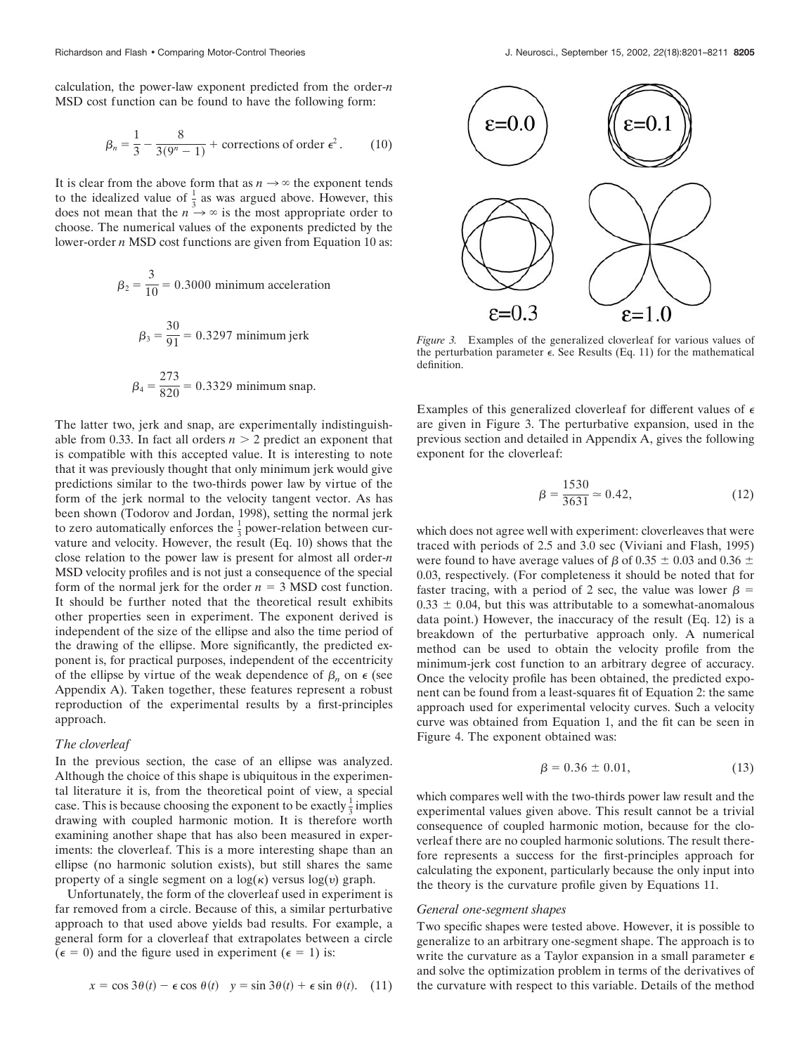calculation, the power-law exponent predicted from the order-*n* MSD cost function can be found to have the following form:

$$
\beta_n = \frac{1}{3} - \frac{8}{3(9^n - 1)} + \text{ corrections of order } \epsilon^2. \tag{10}
$$

It is clear from the above form that as  $n \to \infty$  the exponent tends to the idealized value of  $\frac{1}{3}$  as was argued above. However, this does not mean that the  $n \rightarrow \infty$  is the most appropriate order to choose. The numerical values of the exponents predicted by the lower-order *n* MSD cost functions are given from Equation 10 as:

$$
\beta_2 = \frac{3}{10} = 0.3000 \text{ minimum acceleration}
$$
  

$$
\beta_3 = \frac{30}{91} = 0.3297 \text{ minimum jerk}
$$
  

$$
\beta_4 = \frac{273}{820} = 0.3329 \text{ minimum snap.}
$$

The latter two, jerk and snap, are experimentally indistinguishable from 0.33. In fact all orders  $n > 2$  predict an exponent that is compatible with this accepted value. It is interesting to note that it was previously thought that only minimum jerk would give predictions similar to the two-thirds power law by virtue of the form of the jerk normal to the velocity tangent vector. As has been shown (Todorov and Jordan, 1998), setting the normal jerk to zero automatically enforces the  $\frac{1}{3}$  power-relation between curvature and velocity. However, the result (Eq. 10) shows that the close relation to the power law is present for almost all order-*n* MSD velocity profiles and is not just a consequence of the special form of the normal jerk for the order  $n = 3$  MSD cost function. It should be further noted that the theoretical result exhibits other properties seen in experiment. The exponent derived is independent of the size of the ellipse and also the time period of the drawing of the ellipse. More significantly, the predicted exponent is, for practical purposes, independent of the eccentricity of the ellipse by virtue of the weak dependence of  $\beta_n$  on  $\epsilon$  (see Appendix A). Taken together, these features represent a robust reproduction of the experimental results by a first-principles approach.

# *The cloverleaf*

In the previous section, the case of an ellipse was analyzed. Although the choice of this shape is ubiquitous in the experimental literature it is, from the theoretical point of view, a special case. This is because choosing the exponent to be exactly  $\frac{1}{3}$  implies drawing with coupled harmonic motion. It is therefore worth examining another shape that has also been measured in experiments: the cloverleaf. This is a more interesting shape than an ellipse (no harmonic solution exists), but still shares the same property of a single segment on a  $log(\kappa)$  versus  $log(\nu)$  graph.

Unfortunately, the form of the cloverleaf used in experiment is far removed from a circle. Because of this, a similar perturbative approach to that used above yields bad results. For example, a general form for a cloverleaf that extrapolates between a circle  $(\epsilon = 0)$  and the figure used in experiment  $(\epsilon = 1)$  is:

$$
x = \cos 3\theta(t) - \epsilon \cos \theta(t) \quad y = \sin 3\theta(t) + \epsilon \sin \theta(t). \tag{11}
$$



*Figure 3.* Examples of the generalized cloverleaf for various values of the perturbation parameter  $\epsilon$ . See Results (Eq. 11) for the mathematical definition.

Examples of this generalized cloverleaf for different values of  $\epsilon$ are given in Figure 3. The perturbative expansion, used in the previous section and detailed in Appendix A, gives the following exponent for the cloverleaf:

$$
\beta = \frac{1530}{3631} \approx 0.42,\tag{12}
$$

which does not agree well with experiment: cloverleaves that were traced with periods of 2.5 and 3.0 sec (Viviani and Flash, 1995) were found to have average values of  $\beta$  of 0.35  $\pm$  0.03 and 0.36  $\pm$ 0.03, respectively. (For completeness it should be noted that for faster tracing, with a period of 2 sec, the value was lower  $\beta$  =  $0.33 \pm 0.04$ , but this was attributable to a somewhat-anomalous data point.) However, the inaccuracy of the result (Eq. 12) is a breakdown of the perturbative approach only. A numerical method can be used to obtain the velocity profile from the minimum-jerk cost function to an arbitrary degree of accuracy. Once the velocity profile has been obtained, the predicted exponent can be found from a least-squares fit of Equation 2: the same approach used for experimental velocity curves. Such a velocity curve was obtained from Equation 1, and the fit can be seen in Figure 4. The exponent obtained was:

$$
\beta = 0.36 \pm 0.01, \tag{13}
$$

which compares well with the two-thirds power law result and the experimental values given above. This result cannot be a trivial consequence of coupled harmonic motion, because for the cloverleaf there are no coupled harmonic solutions. The result therefore represents a success for the first-principles approach for calculating the exponent, particularly because the only input into the theory is the curvature profile given by Equations 11.

## *General one-segment shapes*

Two specific shapes were tested above. However, it is possible to generalize to an arbitrary one-segment shape. The approach is to write the curvature as a Taylor expansion in a small parameter  $\epsilon$ and solve the optimization problem in terms of the derivatives of the curvature with respect to this variable. Details of the method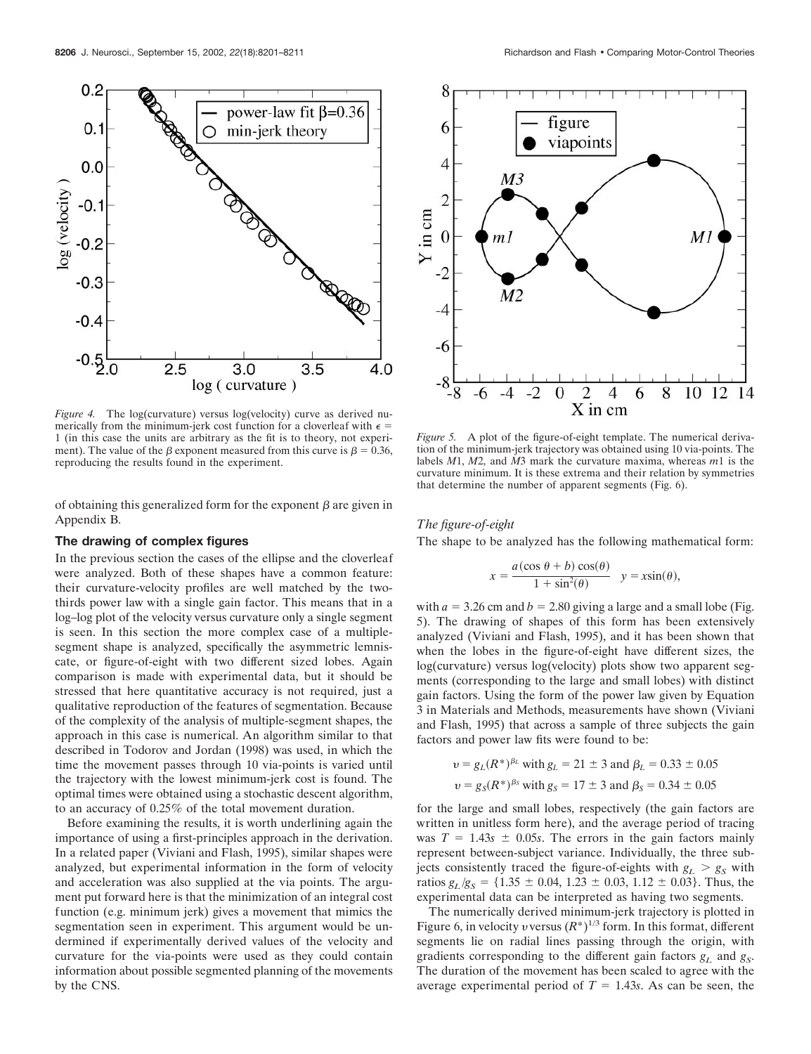

*Figure 4.* The log(curvature) versus log(velocity) curve as derived numerically from the minimum-jerk cost function for a cloverleaf with  $\epsilon$  = 1 (in this case the units are arbitrary as the fit is to theory, not experiment). The value of the  $\beta$  exponent measured from this curve is  $\beta = 0.36$ , reproducing the results found in the experiment.

of obtaining this generalized form for the exponent  $\beta$  are given in Appendix B.

#### **The drawing of complex figures**

In the previous section the cases of the ellipse and the cloverleaf were analyzed. Both of these shapes have a common feature: their curvature-velocity profiles are well matched by the twothirds power law with a single gain factor. This means that in a log–log plot of the velocity versus curvature only a single segment is seen. In this section the more complex case of a multiplesegment shape is analyzed, specifically the asymmetric lemniscate, or figure-of-eight with two different sized lobes. Again comparison is made with experimental data, but it should be stressed that here quantitative accuracy is not required, just a qualitative reproduction of the features of segmentation. Because of the complexity of the analysis of multiple-segment shapes, the approach in this case is numerical. An algorithm similar to that described in Todorov and Jordan (1998) was used, in which the time the movement passes through 10 via-points is varied until the trajectory with the lowest minimum-jerk cost is found. The optimal times were obtained using a stochastic descent algorithm, to an accuracy of 0.25% of the total movement duration.

Before examining the results, it is worth underlining again the importance of using a first-principles approach in the derivation. In a related paper (Viviani and Flash, 1995), similar shapes were analyzed, but experimental information in the form of velocity and acceleration was also supplied at the via points. The argument put forward here is that the minimization of an integral cost function (e.g. minimum jerk) gives a movement that mimics the segmentation seen in experiment. This argument would be undermined if experimentally derived values of the velocity and curvature for the via-points were used as they could contain information about possible segmented planning of the movements by the CNS.



*Figure 5.* A plot of the figure-of-eight template. The numerical derivation of the minimum-jerk trajectory was obtained using 10 via-points. The labels *M*1, *M*2, and *M*3 mark the curvature maxima, whereas *m*1 is the curvature minimum. It is these extrema and their relation by symmetries that determine the number of apparent segments (Fig. 6).

# *The figure-of-eight*

The shape to be analyzed has the following mathematical form:

$$
x = \frac{a(\cos \theta + b) \cos(\theta)}{1 + \sin^2(\theta)} \quad y = x \sin(\theta),
$$

with  $a = 3.26$  cm and  $b = 2.80$  giving a large and a small lobe (Fig. 5). The drawing of shapes of this form has been extensively analyzed (Viviani and Flash, 1995), and it has been shown that when the lobes in the figure-of-eight have different sizes, the log(curvature) versus log(velocity) plots show two apparent segments (corresponding to the large and small lobes) with distinct gain factors. Using the form of the power law given by Equation 3 in Materials and Methods, measurements have shown (Viviani and Flash, 1995) that across a sample of three subjects the gain factors and power law fits were found to be:

$$
v = g_L(R^*)^{\beta_L}
$$
 with  $g_L = 21 \pm 3$  and  $\beta_L = 0.33 \pm 0.05$   
 $v = g_S(R^*)^{\beta_S}$  with  $g_S = 17 \pm 3$  and  $\beta_S = 0.34 \pm 0.05$ 

for the large and small lobes, respectively (the gain factors are written in unitless form here), and the average period of tracing was  $T = 1.43s \pm 0.05s$ . The errors in the gain factors mainly represent between-subject variance. Individually, the three subjects consistently traced the figure-of-eights with  $g_L > g_S$  with ratios  $g_L/g_S = \{1.35 \pm 0.04, 1.23 \pm 0.03, 1.12 \pm 0.03\}$ . Thus, the experimental data can be interpreted as having two segments.

The numerically derived minimum-jerk trajectory is plotted in Figure 6, in velocity *v* versus  $(R^*)^{1/3}$  form. In this format, different segments lie on radial lines passing through the origin, with gradients corresponding to the different gain factors  $g_L$  and  $g_S$ . The duration of the movement has been scaled to agree with the average experimental period of  $T = 1.43s$ . As can be seen, the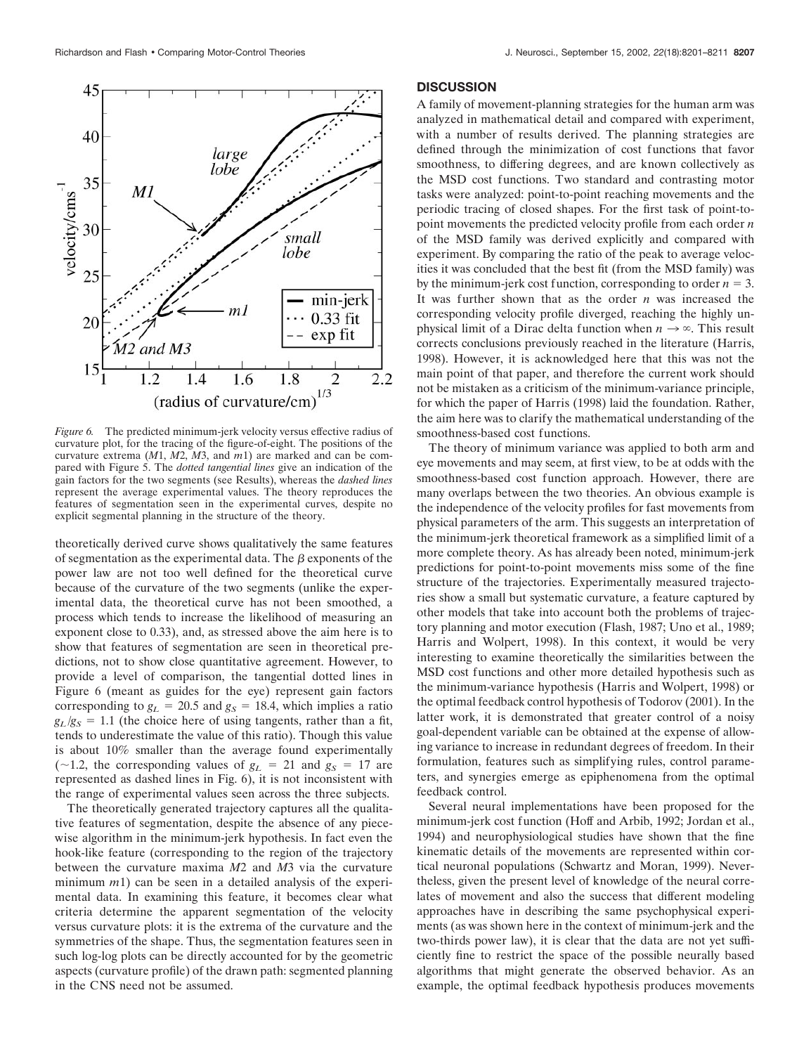*Figure 6.* The predicted minimum-jerk velocity versus effective radius of curvature plot, for the tracing of the figure-of-eight. The positions of the curvature extrema (*M*1, *M*2, *M*3, and *m*1) are marked and can be compared with Figure 5. The *dotted tangential lines* give an indication of the gain factors for the two segments (see Results), whereas the *dashed lines* represent the average experimental values. The theory reproduces the features of segmentation seen in the experimental curves, despite no explicit segmental planning in the structure of the theory.

theoretically derived curve shows qualitatively the same features of segmentation as the experimental data. The  $\beta$  exponents of the power law are not too well defined for the theoretical curve because of the curvature of the two segments (unlike the experimental data, the theoretical curve has not been smoothed, a process which tends to increase the likelihood of measuring an exponent close to 0.33), and, as stressed above the aim here is to show that features of segmentation are seen in theoretical predictions, not to show close quantitative agreement. However, to provide a level of comparison, the tangential dotted lines in Figure 6 (meant as guides for the eye) represent gain factors corresponding to  $g_L = 20.5$  and  $g_S = 18.4$ , which implies a ratio  $g_L/g_S = 1.1$  (the choice here of using tangents, rather than a fit, tends to underestimate the value of this ratio). Though this value is about 10% smaller than the average found experimentally ( $\sim$ 1.2, the corresponding values of  $g_L$  = 21 and  $g_S$  = 17 are represented as dashed lines in Fig. 6), it is not inconsistent with the range of experimental values seen across the three subjects.

The theoretically generated trajectory captures all the qualitative features of segmentation, despite the absence of any piecewise algorithm in the minimum-jerk hypothesis. In fact even the hook-like feature (corresponding to the region of the trajectory between the curvature maxima *M*2 and *M*3 via the curvature minimum *m*1) can be seen in a detailed analysis of the experimental data. In examining this feature, it becomes clear what criteria determine the apparent segmentation of the velocity versus curvature plots: it is the extrema of the curvature and the symmetries of the shape. Thus, the segmentation features seen in such log-log plots can be directly accounted for by the geometric aspects (curvature profile) of the drawn path: segmented planning in the CNS need not be assumed.

#### **DISCUSSION**

A family of movement-planning strategies for the human arm was analyzed in mathematical detail and compared with experiment, with a number of results derived. The planning strategies are defined through the minimization of cost functions that favor smoothness, to differing degrees, and are known collectively as the MSD cost functions. Two standard and contrasting motor tasks were analyzed: point-to-point reaching movements and the periodic tracing of closed shapes. For the first task of point-topoint movements the predicted velocity profile from each order *n* of the MSD family was derived explicitly and compared with experiment. By comparing the ratio of the peak to average velocities it was concluded that the best fit (from the MSD family) was by the minimum-jerk cost function, corresponding to order  $n = 3$ . It was further shown that as the order *n* was increased the corresponding velocity profile diverged, reaching the highly unphysical limit of a Dirac delta function when  $n \to \infty$ . This result corrects conclusions previously reached in the literature (Harris, 1998). However, it is acknowledged here that this was not the main point of that paper, and therefore the current work should not be mistaken as a criticism of the minimum-variance principle, for which the paper of Harris (1998) laid the foundation. Rather, the aim here was to clarify the mathematical understanding of the smoothness-based cost functions.

The theory of minimum variance was applied to both arm and eye movements and may seem, at first view, to be at odds with the smoothness-based cost function approach. However, there are many overlaps between the two theories. An obvious example is the independence of the velocity profiles for fast movements from physical parameters of the arm. This suggests an interpretation of the minimum-jerk theoretical framework as a simplified limit of a more complete theory. As has already been noted, minimum-jerk predictions for point-to-point movements miss some of the fine structure of the trajectories. Experimentally measured trajectories show a small but systematic curvature, a feature captured by other models that take into account both the problems of trajectory planning and motor execution (Flash, 1987; Uno et al., 1989; Harris and Wolpert, 1998). In this context, it would be very interesting to examine theoretically the similarities between the MSD cost functions and other more detailed hypothesis such as the minimum-variance hypothesis (Harris and Wolpert, 1998) or the optimal feedback control hypothesis of Todorov (2001). In the latter work, it is demonstrated that greater control of a noisy goal-dependent variable can be obtained at the expense of allowing variance to increase in redundant degrees of freedom. In their formulation, features such as simplifying rules, control parameters, and synergies emerge as epiphenomena from the optimal feedback control.

Several neural implementations have been proposed for the minimum-jerk cost function (Hoff and Arbib, 1992; Jordan et al., 1994) and neurophysiological studies have shown that the fine kinematic details of the movements are represented within cortical neuronal populations (Schwartz and Moran, 1999). Nevertheless, given the present level of knowledge of the neural correlates of movement and also the success that different modeling approaches have in describing the same psychophysical experiments (as was shown here in the context of minimum-jerk and the two-thirds power law), it is clear that the data are not yet sufficiently fine to restrict the space of the possible neurally based algorithms that might generate the observed behavior. As an example, the optimal feedback hypothesis produces movements

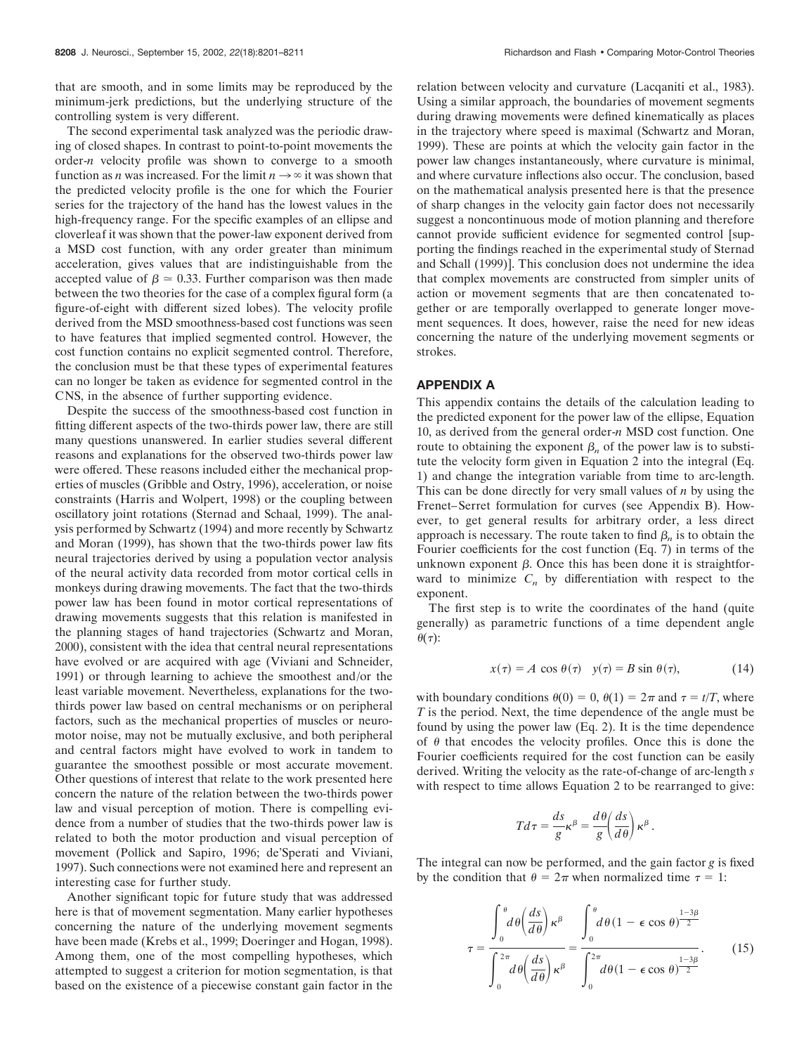that are smooth, and in some limits may be reproduced by the minimum-jerk predictions, but the underlying structure of the controlling system is very different.

The second experimental task analyzed was the periodic drawing of closed shapes. In contrast to point-to-point movements the order-*n* velocity profile was shown to converge to a smooth function as *n* was increased. For the limit  $n \rightarrow \infty$  it was shown that the predicted velocity profile is the one for which the Fourier series for the trajectory of the hand has the lowest values in the high-frequency range. For the specific examples of an ellipse and cloverleaf it was shown that the power-law exponent derived from a MSD cost function, with any order greater than minimum acceleration, gives values that are indistinguishable from the accepted value of  $\beta \approx 0.33$ . Further comparison was then made between the two theories for the case of a complex figural form (a figure-of-eight with different sized lobes). The velocity profile derived from the MSD smoothness-based cost functions was seen to have features that implied segmented control. However, the cost function contains no explicit segmented control. Therefore, the conclusion must be that these types of experimental features can no longer be taken as evidence for segmented control in the CNS, in the absence of further supporting evidence.

Despite the success of the smoothness-based cost function in fitting different aspects of the two-thirds power law, there are still many questions unanswered. In earlier studies several different reasons and explanations for the observed two-thirds power law were offered. These reasons included either the mechanical properties of muscles (Gribble and Ostry, 1996), acceleration, or noise constraints (Harris and Wolpert, 1998) or the coupling between oscillatory joint rotations (Sternad and Schaal, 1999). The analysis performed by Schwartz (1994) and more recently by Schwartz and Moran (1999), has shown that the two-thirds power law fits neural trajectories derived by using a population vector analysis of the neural activity data recorded from motor cortical cells in monkeys during drawing movements. The fact that the two-thirds power law has been found in motor cortical representations of drawing movements suggests that this relation is manifested in the planning stages of hand trajectories (Schwartz and Moran, 2000), consistent with the idea that central neural representations have evolved or are acquired with age (Viviani and Schneider, 1991) or through learning to achieve the smoothest and/or the least variable movement. Nevertheless, explanations for the twothirds power law based on central mechanisms or on peripheral factors, such as the mechanical properties of muscles or neuromotor noise, may not be mutually exclusive, and both peripheral and central factors might have evolved to work in tandem to guarantee the smoothest possible or most accurate movement. Other questions of interest that relate to the work presented here concern the nature of the relation between the two-thirds power law and visual perception of motion. There is compelling evidence from a number of studies that the two-thirds power law is related to both the motor production and visual perception of movement (Pollick and Sapiro, 1996; de'Sperati and Viviani, 1997). Such connections were not examined here and represent an interesting case for further study.

Another significant topic for future study that was addressed here is that of movement segmentation. Many earlier hypotheses concerning the nature of the underlying movement segments have been made (Krebs et al., 1999; Doeringer and Hogan, 1998). Among them, one of the most compelling hypotheses, which attempted to suggest a criterion for motion segmentation, is that based on the existence of a piecewise constant gain factor in the

relation between velocity and curvature (Lacqaniti et al., 1983). Using a similar approach, the boundaries of movement segments during drawing movements were defined kinematically as places in the trajectory where speed is maximal (Schwartz and Moran, 1999). These are points at which the velocity gain factor in the power law changes instantaneously, where curvature is minimal, and where curvature inflections also occur. The conclusion, based on the mathematical analysis presented here is that the presence of sharp changes in the velocity gain factor does not necessarily suggest a noncontinuous mode of motion planning and therefore cannot provide sufficient evidence for segmented control [supporting the findings reached in the experimental study of Sternad and Schall (1999)]. This conclusion does not undermine the idea that complex movements are constructed from simpler units of action or movement segments that are then concatenated together or are temporally overlapped to generate longer movement sequences. It does, however, raise the need for new ideas concerning the nature of the underlying movement segments or strokes.

## **APPENDIX A**

This appendix contains the details of the calculation leading to the predicted exponent for the power law of the ellipse, Equation 10, as derived from the general order-*n* MSD cost function. One route to obtaining the exponent  $\beta_n$  of the power law is to substitute the velocity form given in Equation 2 into the integral (Eq. 1) and change the integration variable from time to arc-length. This can be done directly for very small values of *n* by using the Frenet–Serret formulation for curves (see Appendix B). However, to get general results for arbitrary order, a less direct approach is necessary. The route taken to find  $\beta_n$  is to obtain the Fourier coefficients for the cost function (Eq. 7) in terms of the unknown exponent  $\beta$ . Once this has been done it is straightforward to minimize  $C_n$  by differentiation with respect to the exponent.

The first step is to write the coordinates of the hand (quite generally) as parametric functions of a time dependent angle  $\theta(\tau)$ :

$$
x(\tau) = A \cos \theta(\tau) \quad y(\tau) = B \sin \theta(\tau), \tag{14}
$$

with boundary conditions  $\theta(0) = 0$ ,  $\theta(1) = 2\pi$  and  $\tau = t/T$ , where *T* is the period. Next, the time dependence of the angle must be found by using the power law (Eq. 2). It is the time dependence of  $\theta$  that encodes the velocity profiles. Once this is done the Fourier coefficients required for the cost function can be easily derived. Writing the velocity as the rate-of-change of arc-length *s* with respect to time allows Equation 2 to be rearranged to give:

$$
Td\tau = \frac{ds}{g}\kappa^{\beta} = \frac{d\theta}{g}\left(\frac{ds}{d\theta}\right)\kappa^{\beta}.
$$

The integral can now be performed, and the gain factor *g* is fixed by the condition that  $\theta = 2\pi$  when normalized time  $\tau = 1$ :

$$
\tau = \frac{\int_0^{\theta} d\theta \left(\frac{ds}{d\theta}\right) \kappa^{\beta}}{\int_0^{2\pi} d\theta \left(\frac{ds}{d\theta}\right) \kappa^{\beta}} = \frac{\int_0^{\theta} d\theta (1 - \epsilon \cos \theta)^{\frac{1-3\beta}{2}}}{\int_0^{2\pi} d\theta (1 - \epsilon \cos \theta)^{\frac{1-3\beta}{2}}}.
$$
(15)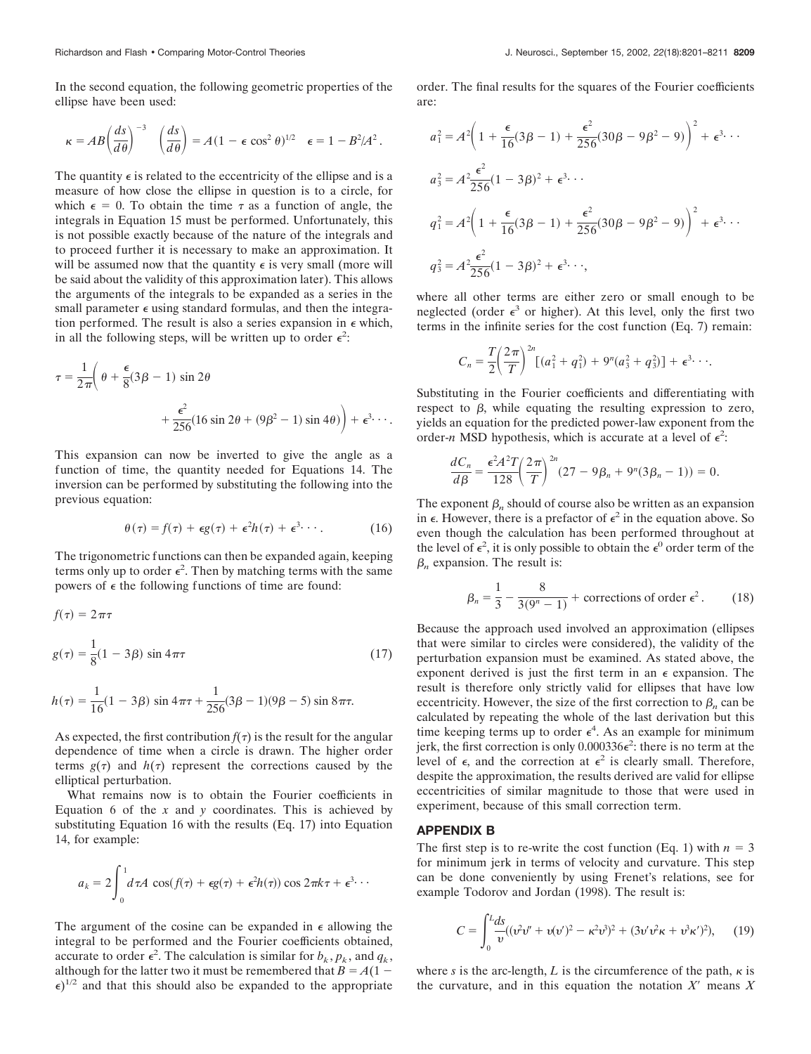In the second equation, the following geometric properties of the ellipse have been used:

$$
\kappa = AB \left(\frac{ds}{d\theta}\right)^{-3} \quad \left(\frac{ds}{d\theta}\right) = A(1 - \epsilon \cos^2 \theta)^{1/2} \quad \epsilon = 1 - B^2/A^2.
$$

The quantity  $\epsilon$  is related to the eccentricity of the ellipse and is a measure of how close the ellipse in question is to a circle, for which  $\epsilon = 0$ . To obtain the time  $\tau$  as a function of angle, the integrals in Equation 15 must be performed. Unfortunately, this is not possible exactly because of the nature of the integrals and to proceed further it is necessary to make an approximation. It will be assumed now that the quantity  $\epsilon$  is very small (more will be said about the validity of this approximation later). This allows the arguments of the integrals to be expanded as a series in the small parameter  $\epsilon$  using standard formulas, and then the integration performed. The result is also a series expansion in  $\epsilon$  which, in all the following steps, will be written up to order  $\epsilon^2$ :

$$
\tau = \frac{1}{2\pi} \left( \theta + \frac{\epsilon}{8} (3\beta - 1) \sin 2\theta + \frac{\epsilon^2}{256} (16 \sin 2\theta + (9\beta^2 - 1) \sin 4\theta) \right) + \epsilon^3 \cdots
$$

This expansion can now be inverted to give the angle as a function of time, the quantity needed for Equations 14. The inversion can be performed by substituting the following into the previous equation:

$$
\theta(\tau) = f(\tau) + \epsilon g(\tau) + \epsilon^2 h(\tau) + \epsilon^3 \cdots
$$
 (16)

The trigonometric functions can then be expanded again, keeping terms only up to order  $\epsilon^2$ . Then by matching terms with the same powers of  $\epsilon$  the following functions of time are found:

$$
f(\tau) = 2\pi\tau
$$
  
 
$$
g(\tau) = \frac{1}{8}(1 - 3\beta) \sin 4\pi\tau
$$
 (17)

$$
h(\tau) = \frac{1}{16}(1 - 3\beta) \sin 4\pi \tau + \frac{1}{256}(3\beta - 1)(9\beta - 5) \sin 8\pi \tau.
$$

As expected, the first contribution  $f(\tau)$  is the result for the angular dependence of time when a circle is drawn. The higher order terms  $g(\tau)$  and  $h(\tau)$  represent the corrections caused by the elliptical perturbation.

What remains now is to obtain the Fourier coefficients in Equation 6 of the  $x$  and  $y$  coordinates. This is achieved by substituting Equation 16 with the results (Eq. 17) into Equation 14, for example:

$$
a_k = 2 \int_0^1 d\tau A \, \cos(f(\tau) + \epsilon g(\tau) + \epsilon^2 h(\tau)) \cos 2\pi k \tau + \epsilon^3 \cdots
$$

The argument of the cosine can be expanded in  $\epsilon$  allowing the integral to be performed and the Fourier coefficients obtained, accurate to order  $\epsilon^2$ . The calculation is similar for  $b_k$ ,  $p_k$ , and  $q_k$ , although for the latter two it must be remembered that  $B = A(1 \epsilon$ )<sup>1/2</sup> and that this should also be expanded to the appropriate

order. The final results for the squares of the Fourier coefficients are:

$$
a_1^2 = A^2 \left( 1 + \frac{\epsilon}{16} (3\beta - 1) + \frac{\epsilon^2}{256} (30\beta - 9\beta^2 - 9) \right)^2 + \epsilon^3 \cdots
$$
  
\n
$$
a_3^2 = A^2 \frac{\epsilon^2}{256} (1 - 3\beta)^2 + \epsilon^3 \cdots
$$
  
\n
$$
q_1^2 = A^2 \left( 1 + \frac{\epsilon}{16} (3\beta - 1) + \frac{\epsilon^2}{256} (30\beta - 9\beta^2 - 9) \right)^2 + \epsilon^3 \cdots
$$
  
\n
$$
q_3^2 = A^2 \frac{\epsilon^2}{256} (1 - 3\beta)^2 + \epsilon^3 \cdots
$$

where all other terms are either zero or small enough to be neglected (order  $\epsilon^3$  or higher). At this level, only the first two terms in the infinite series for the cost function (Eq. 7) remain:

$$
C_n = \frac{T}{2} \left( \frac{2\pi}{T} \right)^{2n} \left[ (a_1^2 + q_1^2) + 9^n(a_3^2 + q_3^2) \right] + \epsilon^3 \cdots
$$

Substituting in the Fourier coefficients and differentiating with respect to  $\beta$ , while equating the resulting expression to zero, yields an equation for the predicted power-law exponent from the order-*n* MSD hypothesis, which is accurate at a level of  $\epsilon^2$ :

$$
\frac{dC_n}{d\beta} = \frac{\epsilon^2 A^2 T}{128} \left(\frac{2\pi}{T}\right)^{2n} (27 - 9\beta_n + 9^n (3\beta_n - 1)) = 0.
$$

The exponent  $\beta_n$  should of course also be written as an expansion in  $\epsilon$ . However, there is a prefactor of  $\epsilon^2$  in the equation above. So even though the calculation has been performed throughout at the level of  $\epsilon^2$ , it is only possible to obtain the  $\epsilon^0$  order term of the  $\beta_n$  expansion. The result is:

$$
\beta_n = \frac{1}{3} - \frac{8}{3(9^n - 1)} + \text{ corrections of order } \epsilon^2. \tag{18}
$$

Because the approach used involved an approximation (ellipses that were similar to circles were considered), the validity of the perturbation expansion must be examined. As stated above, the exponent derived is just the first term in an  $\epsilon$  expansion. The result is therefore only strictly valid for ellipses that have low eccentricity. However, the size of the first correction to  $\beta_n$  can be calculated by repeating the whole of the last derivation but this time keeping terms up to order  $\epsilon^4$ . As an example for minimum jerk, the first correction is only  $0.000336\epsilon^2$ : there is no term at the level of  $\epsilon$ , and the correction at  $\epsilon^2$  is clearly small. Therefore, despite the approximation, the results derived are valid for ellipse eccentricities of similar magnitude to those that were used in experiment, because of this small correction term.

# **APPENDIX B**

The first step is to re-write the cost function (Eq. 1) with  $n = 3$ for minimum jerk in terms of velocity and curvature. This step can be done conveniently by using Frenet's relations, see for example Todorov and Jordan (1998). The result is:

$$
C = \int_0^L \frac{ds}{v} ((v^2 v'' + v(v')^2 - \kappa^2 v^3)^2 + (3v' v^2 \kappa + v^3 \kappa')^2), \quad (19)
$$

where *s* is the arc-length, *L* is the circumference of the path,  $\kappa$  is the curvature, and in this equation the notation  $X'$  means  $X$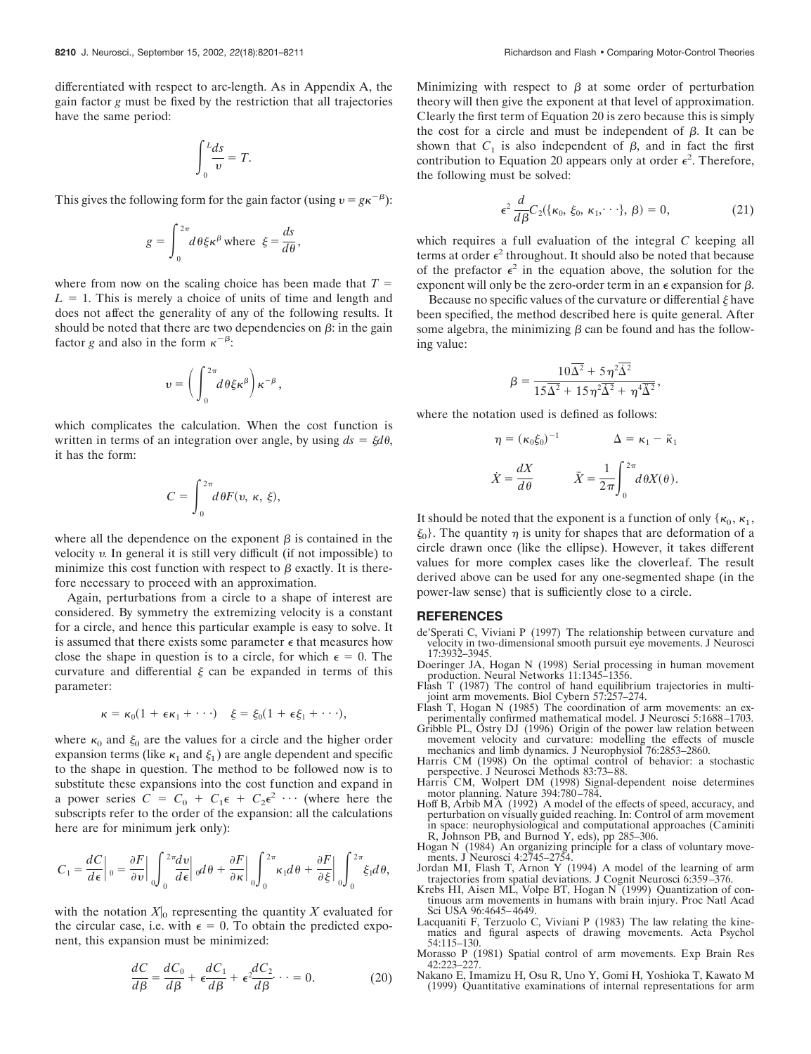differentiated with respect to arc-length. As in Appendix A, the gain factor *g* must be fixed by the restriction that all trajectories have the same period:

$$
\int_0^L \frac{ds}{v} = T.
$$

This gives the following form for the gain factor (using  $v = g\kappa^{-\beta}$ ):

$$
g = \int_0^{2\pi} d\theta \xi \kappa^\beta \text{ where } \xi = \frac{ds}{d\theta},
$$

where from now on the scaling choice has been made that  $T =$  $L = 1$ . This is merely a choice of units of time and length and does not affect the generality of any of the following results. It should be noted that there are two dependencies on  $\beta$ : in the gain factor *g* and also in the form  $\kappa^{-\beta}$ :

$$
\boldsymbol{\upsilon} = \bigg(\int_0^{2\pi} \!\! d\hspace*{0.1em}\theta \xi \kappa^{\beta} \bigg) \kappa^{-\beta} \,,
$$

which complicates the calculation. When the cost function is written in terms of an integration over angle, by using  $ds = \xi d\theta$ , it has the form:

$$
C = \int_0^{2\pi} d\theta F(v, \kappa, \xi),
$$

where all the dependence on the exponent  $\beta$  is contained in the velocity  $v$ . In general it is still very difficult (if not impossible) to minimize this cost function with respect to  $\beta$  exactly. It is therefore necessary to proceed with an approximation.

Again, perturbations from a circle to a shape of interest are considered. By symmetry the extremizing velocity is a constant for a circle, and hence this particular example is easy to solve. It is assumed that there exists some parameter  $\epsilon$  that measures how close the shape in question is to a circle, for which  $\epsilon = 0$ . The curvature and differential  $\xi$  can be expanded in terms of this parameter:

$$
\kappa = \kappa_0(1 + \epsilon \kappa_1 + \cdots) \quad \xi = \xi_0(1 + \epsilon \xi_1 + \cdots),
$$

where  $\kappa_0$  and  $\xi_0$  are the values for a circle and the higher order expansion terms (like  $\kappa_1$  and  $\xi_1$ ) are angle dependent and specific to the shape in question. The method to be followed now is to substitute these expansions into the cost function and expand in a power series  $C = C_0 + C_1 \epsilon + C_2 \epsilon^2 \cdots$  (where here the subscripts refer to the order of the expansion: all the calculations here are for minimum jerk only):

$$
C_1=\frac{dC}{d\epsilon}\bigg|_0=\frac{\partial F}{\partial v}\bigg|\int_0^{2\pi}\!\!\!\frac{dv}{d\epsilon}\bigg|_0d\theta+\frac{\partial F}{\partial\kappa}\bigg|\int_0^{2\pi}\!\kappa_1d\theta+\frac{\partial F}{\partial\xi}\bigg|\int_0^{2\pi}\!\!\xi_1d\theta,
$$

with the notation  $X|_0$  representing the quantity X evaluated for the circular case, i.e. with  $\epsilon = 0$ . To obtain the predicted exponent, this expansion must be minimized:

$$
\frac{dC}{d\beta} = \frac{dC_0}{d\beta} + \epsilon \frac{dC_1}{d\beta} + \epsilon^2 \frac{dC_2}{d\beta} \dots = 0.
$$
 (20)

Minimizing with respect to  $\beta$  at some order of perturbation theory will then give the exponent at that level of approximation. Clearly the first term of Equation 20 is zero because this is simply the cost for a circle and must be independent of  $\beta$ . It can be shown that  $C_1$  is also independent of  $\beta$ , and in fact the first contribution to Equation 20 appears only at order  $\epsilon^2$ . Therefore, the following must be solved:

$$
\epsilon^2 \frac{d}{d\beta} C_2(\{\kappa_0, \xi_0, \kappa_1, \cdot \cdot \cdot\}, \beta) = 0, \tag{21}
$$

which requires a full evaluation of the integral *C* keeping all terms at order  $\epsilon^2$  throughout. It should also be noted that because of the prefactor  $\epsilon^2$  in the equation above, the solution for the exponent will only be the zero-order term in an  $\epsilon$  expansion for  $\beta$ .

Because no specific values of the curvature or differential  $\xi$  have been specified, the method described here is quite general. After some algebra, the minimizing  $\beta$  can be found and has the following value:

$$
\beta = \frac{10\overline{\Delta^2} + 5\eta^2\overline{\Delta^2}}{15\overline{\Delta^2} + 15\eta^2\overline{\Delta^2} + \eta^4\overline{\Delta^2}},
$$

where the notation used is defined as follows:

$$
\eta = (\kappa_0 \xi_0)^{-1} \qquad \Delta = \kappa_1 - \bar{\kappa}_1
$$

$$
\dot{X} = \frac{dX}{d\theta} \qquad \bar{X} = \frac{1}{2\pi} \int_0^{2\pi} d\theta X(\theta).
$$

It should be noted that the exponent is a function of only { $\kappa_0$ ,  $\kappa_1$ ,  $\xi_0$ . The quantity  $\eta$  is unity for shapes that are deformation of a circle drawn once (like the ellipse). However, it takes different values for more complex cases like the cloverleaf. The result derived above can be used for any one-segmented shape (in the power-law sense) that is sufficiently close to a circle.

#### **REFERENCES**

- de'Sperati C, Viviani P (1997) The relationship between curvature and velocity in two-dimensional smooth pursuit eye movements. J Neurosci 17:3932–3945.
- Doeringer JA, Hogan N (1998) Serial processing in human movement production. Neural Networks 11:1345–1356.
- Flash T (1987) The control of hand equilibrium trajectories in multijoint arm movements. Biol Cybern 57:257–274.
- Flash T, Hogan N (1985) The coordination of arm movements: an experimentally confirmed mathematical model. J Neurosci 5:1688–1703.
- Gribble PL, Ostry DJ (1996) Origin of the power law relation between movement velocity and curvature: modelling the effects of muscle mechanics and limb dynamics. J Neurophysiol 76:2853–2860.
- Harris CM (1998) On the optimal control of behavior: a stochastic perspective. J Neurosci Methods 83:73–88.
- Harris CM, Wolpert DM (1998) Signal-dependent noise determines motor planning. Nature 394:780–784.
- Hoff B, Arbib MA (1992) A model of the effects of speed, accuracy, and perturbation on visually guided reaching. In: Control of arm movement in space: neurophysiological and computational approaches (Caminiti R, Johnson PB, and Burnod Y, eds), pp 285–306.
- Hogan N (1984) An organizing principle for a class of voluntary movements. J Neurosci 4:2745-2754.
- Jordan MI, Flash T, Arnon Y (1994) A model of the learning of arm trajectories from spatial deviations. J Cognit Neurosci 6:359–376. Krebs HI, Aisen ML, Volpe BT, Hogan N (1999) Quantization of con-
- tinuous arm movements in humans with brain injury. Proc Natl Acad Sci USA 96:4645–4649.
- Lacquaniti F, Terzuolo C, Viviani P (1983) The law relating the kinematics and figural aspects of drawing movements. Acta Psychol 54:115–130.
- Morasso P (1981) Spatial control of arm movements. Exp Brain Res 42:223–227.
- Nakano E, Imamizu H, Osu R, Uno Y, Gomi H, Yoshioka T, Kawato M (1999) Quantitative examinations of internal representations for arm